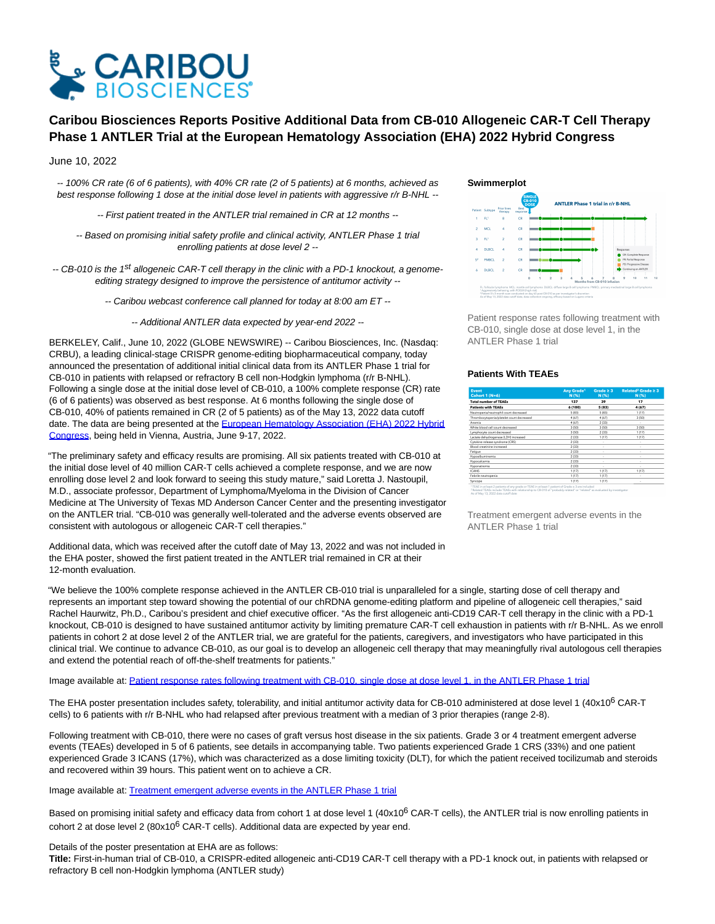

# **Caribou Biosciences Reports Positive Additional Data from CB-010 Allogeneic CAR-T Cell Therapy Phase 1 ANTLER Trial at the European Hematology Association (EHA) 2022 Hybrid Congress**

# June 10, 2022

-- 100% CR rate (6 of 6 patients), with 40% CR rate (2 of 5 patients) at 6 months, achieved as best response following 1 dose at the initial dose level in patients with aggressive r/r B-NHL --

-- First patient treated in the ANTLER trial remained in CR at 12 months --

-- Based on promising initial safety profile and clinical activity, ANTLER Phase 1 trial enrolling patients at dose level 2 --

-- CB-010 is the 1<sup>st</sup> allogeneic CAR-T cell therapy in the clinic with a PD-1 knockout, a genomeediting strategy designed to improve the persistence of antitumor activity --

-- Caribou webcast conference call planned for today at 8:00 am ET --

-- Additional ANTLER data expected by year-end 2022 --

BERKELEY, Calif., June 10, 2022 (GLOBE NEWSWIRE) -- Caribou Biosciences, Inc. (Nasdaq: CRBU), a leading clinical-stage CRISPR genome-editing biopharmaceutical company, today announced the presentation of additional initial clinical data from its ANTLER Phase 1 trial for CB-010 in patients with relapsed or refractory B cell non-Hodgkin lymphoma (r/r B-NHL). Following a single dose at the initial dose level of CB-010, a 100% complete response (CR) rate (6 of 6 patients) was observed as best response. At 6 months following the single dose of CB-010, 40% of patients remained in CR (2 of 5 patients) as of the May 13, 2022 data cutoff date. The data are being presented at the [European Hematology Association \(EHA\) 2022 Hybrid](https://www.globenewswire.com/Tracker?data=C6VMmSmmKcXJd4tETpH1U5c0yDrbgUcPABFCPyGhDd-OPmJi0-7E-7lIGjbNLnPxoGNOCh5QSaPi3lttKxJtpG9MvhOzzjL_gf--YIAXWKlKdKpP2-6-msIWd5tXu84QV3KutKruS52mS1H6DRQQVkODjJWoK-ukbsnzJJIZkR9mCoZoRWNWurLllDEg3IsE) Congress, being held in Vienna, Austria, June 9-17, 2022.

"The preliminary safety and efficacy results are promising. All six patients treated with CB-010 at the initial dose level of 40 million CAR-T cells achieved a complete response, and we are now enrolling dose level 2 and look forward to seeing this study mature," said Loretta J. Nastoupil, M.D., associate professor, Department of Lymphoma/Myeloma in the Division of Cancer Medicine at The University of Texas MD Anderson Cancer Center and the presenting investigator on the ANTLER trial. "CB-010 was generally well-tolerated and the adverse events observed are consistent with autologous or allogeneic CAR-T cell therapies."

Additional data, which was received after the cutoff date of May 13, 2022 and was not included in the EHA poster, showed the first patient treated in the ANTLER trial remained in CR at their 12-month evaluation.

#### **Swimmerplot**



Patient response rates following treatment with CB-010, single dose at dose level 1, in the ANTLER Phase 1 trial

## **Patients With TEAEs**

| Event<br>Cohort $1(N=6)$<br>otal number of TEAEs | <b>Any Grade<sup>1</sup></b><br>N (%)<br>137 | Grade $\geq 3$<br>N (%)<br>39 | Related <sup>2</sup> Grade $\geq 3$<br>N (%)<br>17 |
|--------------------------------------------------|----------------------------------------------|-------------------------------|----------------------------------------------------|
|                                                  |                                              |                               |                                                    |
| leutropenia/neutrophil count decreased           | 5(83)                                        | 5(83)                         | 1(17)                                              |
| hrombocytopenia/platelet count decreased         | 4 (67)                                       | 4 (67)                        | 3(50)                                              |
| memia                                            | 4(67)                                        | 2(33)                         | ٠                                                  |
| Thite blood cell count decreased                 | 3 (50)                                       | 3 (50)                        | 3(50)                                              |
| ymphocyte count decreased                        | 3 (50)                                       | 2(33)                         | 1(17)                                              |
| actate dehydrogenase (LDH) increased             | 2(33)                                        | 1(17)                         | 1(17)                                              |
| ytokine release syndrome (CRS)                   | 2(33)                                        | ٠                             | ٠                                                  |
| lood creatinine increased                        | 2(33)                                        | ٠                             | ٠                                                  |
| atique                                           | 2(33)                                        | ٠                             | ٠                                                  |
| lypoalbuminemia                                  | 2(33)                                        |                               |                                                    |
| Ivoocalcemia                                     | 2(33)                                        | ٠                             | ٠                                                  |
| lyponatremia                                     | 2(33)                                        |                               |                                                    |
| CANS                                             | 1(17)                                        | 1(17)                         | 1(17)                                              |
| ebrile neutropenia                               | 1 (17)                                       | 1(17)                         | ٠                                                  |
| vncope                                           | 1(17)                                        | 1(17)                         |                                                    |

"We believe the 100% complete response achieved in the ANTLER CB-010 trial is unparalleled for a single, starting dose of cell therapy and represents an important step toward showing the potential of our chRDNA genome-editing platform and pipeline of allogeneic cell therapies," said Rachel Haurwitz, Ph.D., Caribou's president and chief executive officer. "As the first allogeneic anti-CD19 CAR-T cell therapy in the clinic with a PD-1 knockout, CB-010 is designed to have sustained antitumor activity by limiting premature CAR-T cell exhaustion in patients with r/r B-NHL. As we enroll patients in cohort 2 at dose level 2 of the ANTLER trial, we are grateful for the patients, caregivers, and investigators who have participated in this clinical trial. We continue to advance CB-010, as our goal is to develop an allogeneic cell therapy that may meaningfully rival autologous cell therapies and extend the potential reach of off-the-shelf treatments for patients."

#### Image available at: [Patient response rates following treatment with CB-010, single dose at dose level 1, in the ANTLER Phase 1 trial](https://www.globenewswire.com/Tracker?data=e7X5ZowIZ9QxetQOBVLSZGXiN-3AHoOlyLeUH10M7myCzhW2xZ8uohfLLJCTysFHy-Dk1xUKeLfqwE1rO6LK_Ij4FtjYYSrHE5o70EL8-CjEzmfCLHHNg-PF06AjlaGqGceemB63euqVLdtvcQZqrllDZ_7_xVuwU1_5k912pWsbTdYeCFjYQOxsX1Zv6KYvzzMHUjk_NRzA2zf5mp8qO5HhD4Qr8bFW2wmW9TeQdniLwcDs-JkIdTnJpYw-9nzdpRcSEoKt-FfZ5dqor5KFMHH_6H_qPflCP36UjDuBvgo=)

The EHA poster presentation includes safety, tolerability, and initial antitumor activity data for CB-010 administered at dose level 1 (40x10<sup>6</sup> CAR-T cells) to 6 patients with r/r B-NHL who had relapsed after previous treatment with a median of 3 prior therapies (range 2-8).

Following treatment with CB-010, there were no cases of graft versus host disease in the six patients. Grade 3 or 4 treatment emergent adverse events (TEAEs) developed in 5 of 6 patients, see details in accompanying table. Two patients experienced Grade 1 CRS (33%) and one patient experienced Grade 3 ICANS (17%), which was characterized as a dose limiting toxicity (DLT), for which the patient received tocilizumab and steroids and recovered within 39 hours. This patient went on to achieve a CR.

Image available at: [Treatment emergent adverse events in the ANTLER Phase 1 trial](https://www.globenewswire.com/Tracker?data=jckjCn2T-D0toR_qz2Xk7OXO3G3tElITgUVwE7GxX3NGEv95cRubqwQunAV2QatDCFn8a1rpNEhNE1l4q2P_bY6b3wjLpOb0HlUSGafKHN7iCdhUqLCjFC7QjwzmgSc8Ubmc_u6cfr3ja5cOyjemyZznp9pw535NMCqQWrRPpUETONq9dQisV3AxdgcEycMQ7OySWfrV0VMS4wKhj7EJ0n_bTPIVCot5P0rybS-2wLY=)

Based on promising initial safety and efficacy data from cohort 1 at dose level 1  $(40x10^6)$  CAR-T cells), the ANTLER trial is now enrolling patients in cohort 2 at dose level 2 (80x10 $^6$  CAR-T cells). Additional data are expected by year end.

## Details of the poster presentation at EHA are as follows:

**Title:** First-in-human trial of CB-010, a CRISPR-edited allogeneic anti-CD19 CAR-T cell therapy with a PD-1 knock out, in patients with relapsed or refractory B cell non-Hodgkin lymphoma (ANTLER study)

Treatment emergent adverse events in the ANTLER Phase 1 trial